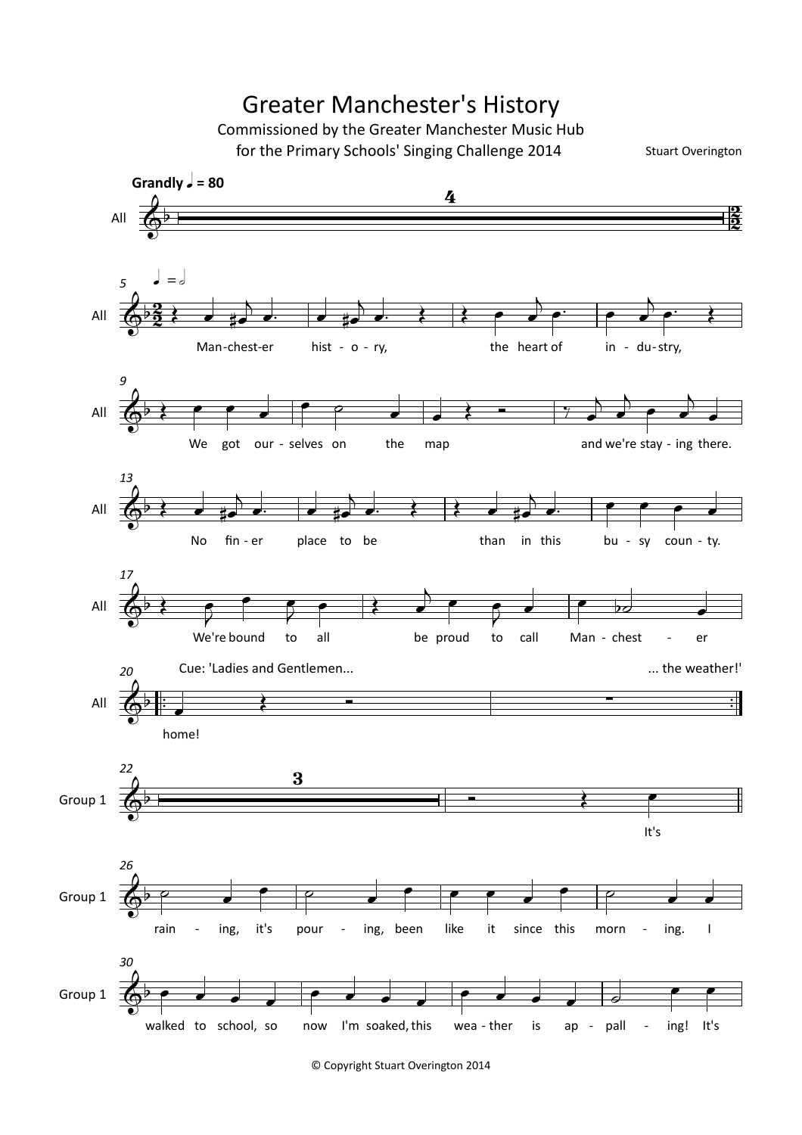## Greater Manchester's History

Commissioned by the Greater Manchester Music Hub for the Primary Schools' Singing Challenge 2014

Stuart Overington



© Copyright Stuart Overington 2014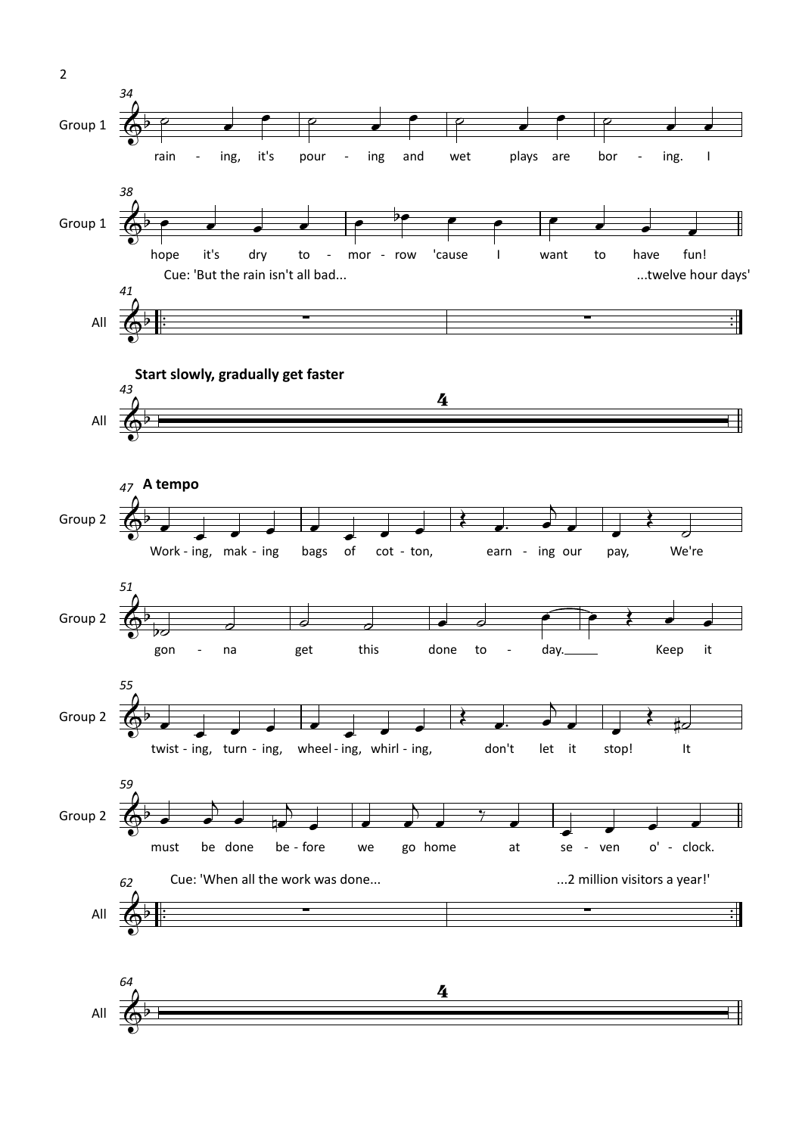

2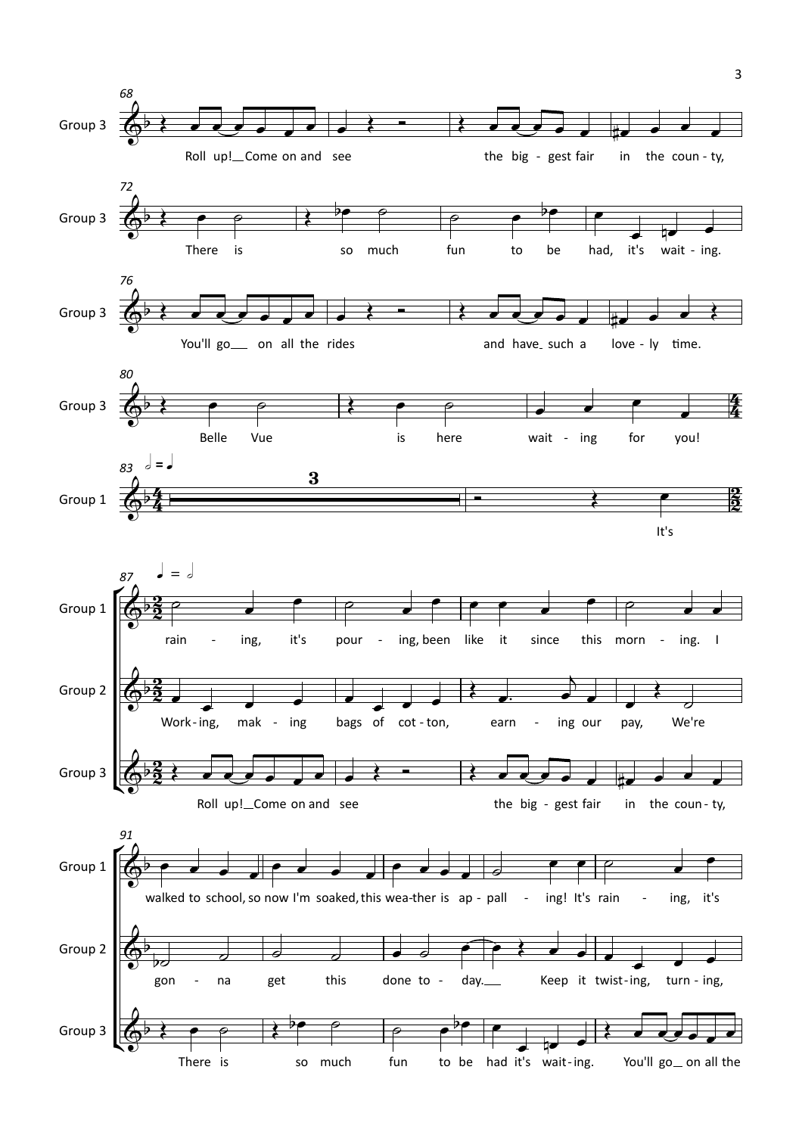